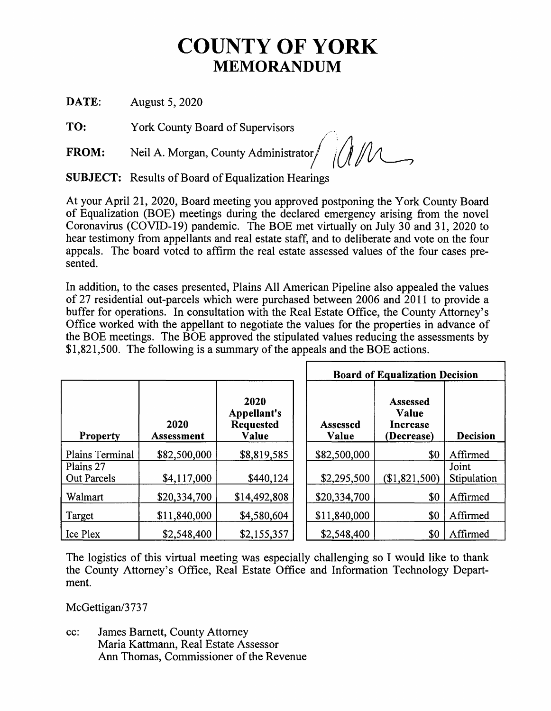## **COUNTY OF YORK MEMORANDUM**

**DATE:** August 5, 2020

**TO:** York County Board of Supervisors .

**FROM:** Neil A. Morgan, County Administrator MA

**SUBJECT:** Results of Board of Equalization Hearings

At your April 21, 2020, Board meeting you approved postponing the York County Board of Equalization (BOE) meetings during the declared emergency arising from the novel Coronavirus (COVID-19) pandemic. The BOE met virtually on July 30 and 31, 2020 to hear testimony from appellants and real estate staff, and to deliberate and vote on the four appeals. The board voted to affirm the real estate assessed values of the four cases presented.

In addition, to the cases presented, Plains All American Pipeline also appealed the values of 27 residential out-parcels which were purchased between 2006 and 2011 to provide a buffer for operations. In consultation with the Real Estate Office, the County Attorney's Office worked with the appellant to negotiate the values for the properties in advance of the BOE meetings. The BOE approved the stipulated values reducing the assessments by \$1,821,500. The following is a summary of the appeals and the BOE actions.

|                                 |                    |                                                  | <b>Board of Equalization Decision</b> |                                                           |                      |
|---------------------------------|--------------------|--------------------------------------------------|---------------------------------------|-----------------------------------------------------------|----------------------|
| <b>Property</b>                 | 2020<br>Assessment | 2020<br>Appellant's<br><b>Requested</b><br>Value | <b>Assessed</b><br>Value              | <b>Assessed</b><br>Value<br><b>Increase</b><br>(Decrease) | <b>Decision</b>      |
| Plains Terminal                 | \$82,500,000       | \$8,819,585                                      | \$82,500,000                          | \$0                                                       | Affirmed             |
| Plains 27<br><b>Out Parcels</b> | \$4,117,000        | \$440,124                                        | \$2,295,500                           | (\$1,821,500)                                             | Joint<br>Stipulation |
| Walmart                         | \$20,334,700       | \$14,492,808                                     | \$20,334,700                          | \$0                                                       | Affirmed             |
| Target                          | \$11,840,000       | \$4,580,604                                      | \$11,840,000                          | \$0                                                       | Affirmed             |
| Ice Plex                        | \$2,548,400        | \$2,155,357                                      | \$2,548,400                           | \$0                                                       | Affirmed             |

The logistics of this virtual meeting was especially challenging so I would like to thank the County Attorney's Office, Real Estate Office and Information Technology Department.

McGettigan/3737

cc: James Barnett, County Attorney Maria Kattmann, Real Estate Assessor Ann Thomas, Commissioner of the Revenue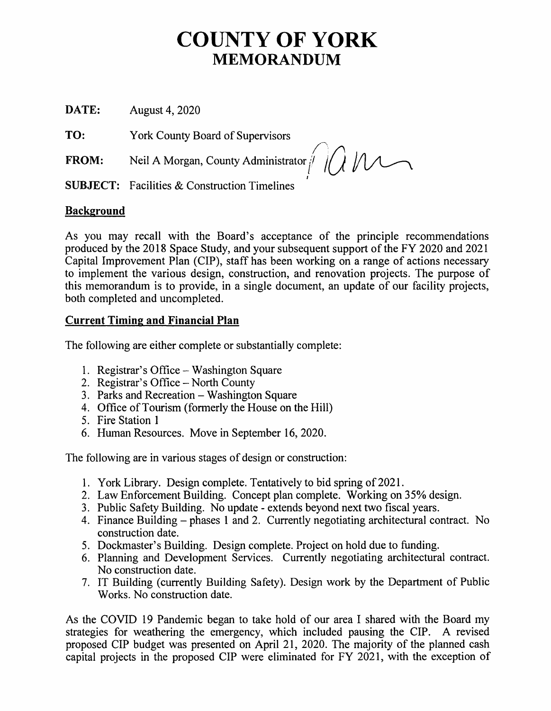## COUNTY OF **YORK MEMORANDUM**

**DATE:** August 4, 2020

**TO:** York County Board of Supervisors

**FROM:** Neil A Morgan, County Administrator

 $p$  a  $p$ 

**SUBJECT:** Facilities & Construction Timelines

## **Background**

As you may recall with the Board's acceptance of the principle recommendations produced by the 2018 Space Study, and your subsequent support of the FY 2020 and 2021 Capital Improvement Plan (CIP), staff has been working on a range of actions necessary to implement the various design, construction, and renovation projects. The purpose of this memorandum is to provide, in a single document, an update of our facility projects, both completed and uncompleted.

## **Current Timing and Financial Plan**

The following are either complete or substantially complete:

- 1. Registrar's Office Washington Square
- 2. Registrar's Office North County
- 3. Parks and Recreation Washington Square
- 4. Office of Tourism (formerly the House on the Hill)
- 5. Fire Station 1
- 6. Human Resources. Move in September 16, 2020.

The following are in various stages of design or construction:

- 1. York Library. Design complete. Tentatively to bid spring of 2021.
- 2. Law Enforcement Building. Concept plan complete. Working on 35% design.
- 3. Public Safety Building. No update extends beyond next two fiscal years.
- 4. Finance Building phases 1 and 2. Currently negotiating architectural contract. No construction date.
- 5. Dockmaster's Building. Design complete. Project on hold due to funding.
- 6. Planning and Development Services. Currently negotiating architectural contract. No construction date.
- 7. IT Building (currently Building Safety). Design work by the Department of Public Works. No construction date.

As the COVID 19 Pandemic began to take hold of our area I shared with the Board my strategies for weathering the emergency, which included pausing the CIP. A revised proposed CIP budget was presented on April 21, 2020. The majority of the planned cash capital projects in the proposed CIP were eliminated for FY 2021, with the exception of